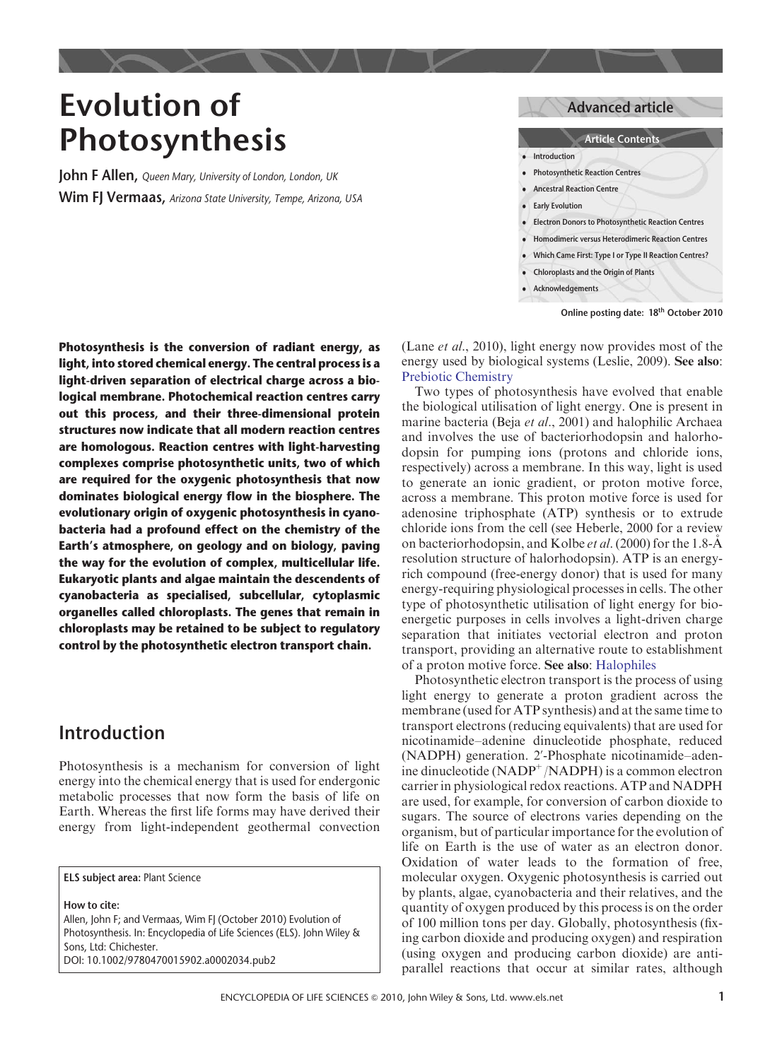# Evolution of Photosynthesis

John F Allen, Queen Mary, University of London, London, UK Wim FJ Vermaas, Arizona State University, Tempe, Arizona, USA Advanced article



Online posting date: 18<sup>th</sup> October 2010

Photosynthesis is the conversion of radiant energy, as light, into stored chemical energy. The central process is a light-driven separation of electrical charge across a biological membrane. Photochemical reaction centres carry out this process, and their three-dimensional protein structures now indicate that all modern reaction centres are homologous. Reaction centres with light-harvesting complexes comprise photosynthetic units, two of which are required for the oxygenic photosynthesis that now dominates biological energy flow in the biosphere. The evolutionary origin of oxygenic photosynthesis in cyanobacteria had a profound effect on the chemistry of the Earth's atmosphere, on geology and on biology, paving the way for the evolution of complex, multicellular life. Eukaryotic plants and algae maintain the descendents of cyanobacteria as specialised, subcellular, cytoplasmic organelles called chloroplasts. The genes that remain in chloroplasts may be retained to be subject to regulatory control by the photosynthetic electron transport chain.

# Introduction

Photosynthesis is a mechanism for conversion of light energy into the chemical energy that is used for endergonic metabolic processes that now form the basis of life on Earth. Whereas the first life forms may have derived their energy from light-independent geothermal convection

ELS subject area: Plant Science

How to cite: Allen, John F; and Vermaas, Wim FJ (October 2010) Evolution of Photosynthesis. In: Encyclopedia of Life Sciences (ELS). John Wiley & Sons, Ltd: Chichester. DOI: 10.1002/9780470015902.a0002034.pub2

(Lane et al., 2010), light energy now provides most of the energy used by biological systems (Leslie, 2009). See also: [Prebiotic Chemistry](http://dx.doi.org/10.1038/npg.els.0000553)

Two types of photosynthesis have evolved that enable the biological utilisation of light energy. One is present in marine bacteria (Beja et al., 2001) and halophilic Archaea and involves the use of bacteriorhodopsin and halorhodopsin for pumping ions (protons and chloride ions, respectively) across a membrane. In this way, light is used to generate an ionic gradient, or proton motive force, across a membrane. This proton motive force is used for adenosine triphosphate (ATP) synthesis or to extrude chloride ions from the cell (see Heberle, 2000 for a review on bacteriorhodopsin, and Kolbe *et al.* (2000) for the 1.8-A resolution structure of halorhodopsin). ATP is an energyrich compound (free-energy donor) that is used for many energy-requiring physiological processes in cells. The other type of photosynthetic utilisation of light energy for bioenergetic purposes in cells involves a light-driven charge separation that initiates vectorial electron and proton transport, providing an alternative route to establishment of a proton motive force. See also: [Halophiles](http://dx.doi.org/10.1038/npg.els.0000394)

Photosynthetic electron transport is the process of using light energy to generate a proton gradient across the membrane (used for ATP synthesis) and at the same time to transport electrons (reducing equivalents) that are used for nicotinamide–adenine dinucleotide phosphate, reduced (NADPH) generation. 2'-Phosphate nicotinamide–adenine dinucleotide  $(NADP<sup>+</sup>/NADPH)$  is a common electron carrier in physiological redox reactions. ATP and NADPH are used, for example, for conversion of carbon dioxide to sugars. The source of electrons varies depending on the organism, but of particular importance for the evolution of life on Earth is the use of water as an electron donor. Oxidation of water leads to the formation of free, molecular oxygen. Oxygenic photosynthesis is carried out by plants, algae, cyanobacteria and their relatives, and the quantity of oxygen produced by this process is on the order of 100 million tons per day. Globally, photosynthesis (fixing carbon dioxide and producing oxygen) and respiration (using oxygen and producing carbon dioxide) are antiparallel reactions that occur at similar rates, although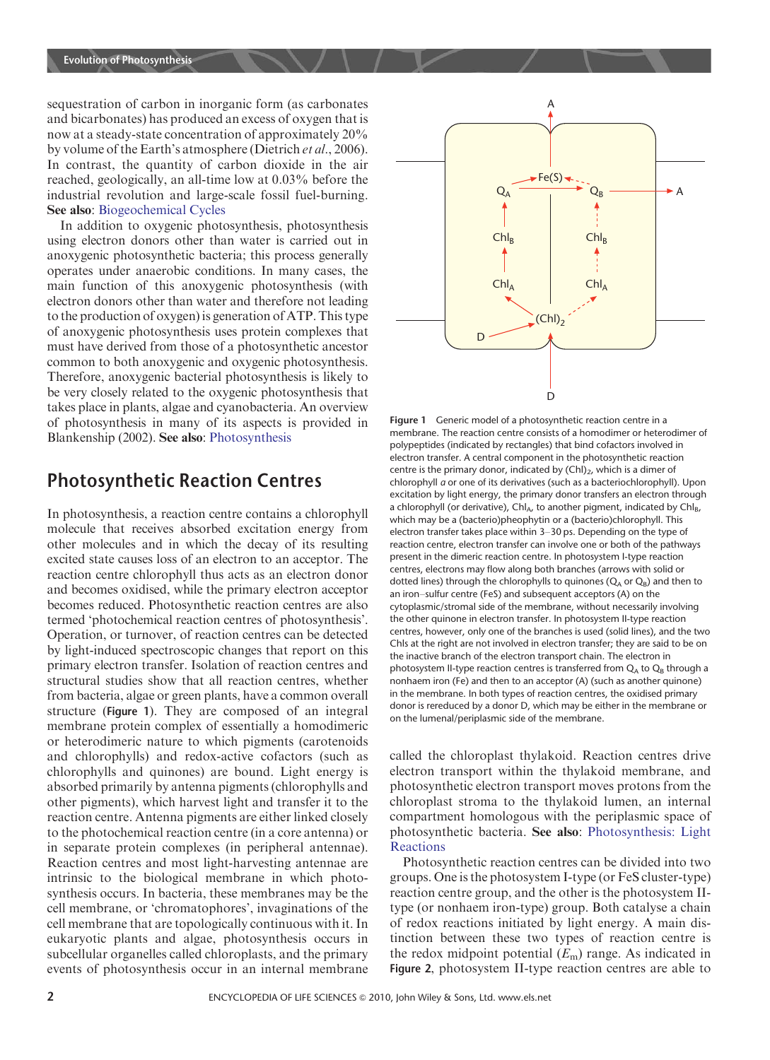sequestration of carbon in inorganic form (as carbonates and bicarbonates) has produced an excess of oxygen that is now at a steady-state concentration of approximately 20% by volume of the Earth's atmosphere (Dietrich et al., 2006). In contrast, the quantity of carbon dioxide in the air reached, geologically, an all-time low at 0.03% before the industrial revolution and large-scale fossil fuel-burning. See also: [Biogeochemical Cycles](http://dx.doi.org/10.1038/npg.els.0000343)

In addition to oxygenic photosynthesis, photosynthesis using electron donors other than water is carried out in anoxygenic photosynthetic bacteria; this process generally operates under anaerobic conditions. In many cases, the main function of this anoxygenic photosynthesis (with electron donors other than water and therefore not leading to the production of oxygen) is generation of ATP. This type of anoxygenic photosynthesis uses protein complexes that must have derived from those of a photosynthetic ancestor common to both anoxygenic and oxygenic photosynthesis. Therefore, anoxygenic bacterial photosynthesis is likely to be very closely related to the oxygenic photosynthesis that takes place in plants, algae and cyanobacteria. An overview of photosynthesis in many of its aspects is provided in Blankenship (2002). See also: [Photosynthesis](http://dx.doi.org/10.1038/npg.els.0001309)

### Photosynthetic Reaction Centres

In photosynthesis, a reaction centre contains a chlorophyll molecule that receives absorbed excitation energy from other molecules and in which the decay of its resulting excited state causes loss of an electron to an acceptor. The reaction centre chlorophyll thus acts as an electron donor and becomes oxidised, while the primary electron acceptor becomes reduced. Photosynthetic reaction centres are also termed 'photochemical reaction centres of photosynthesis'. Operation, or turnover, of reaction centres can be detected by light-induced spectroscopic changes that report on this primary electron transfer. Isolation of reaction centres and structural studies show that all reaction centres, whether from bacteria, algae or green plants, have a common overall structure (Figure 1). They are composed of an integral membrane protein complex of essentially a homodimeric or heterodimeric nature to which pigments (carotenoids and chlorophylls) and redox-active cofactors (such as chlorophylls and quinones) are bound. Light energy is absorbed primarily by antenna pigments (chlorophylls and other pigments), which harvest light and transfer it to the reaction centre. Antenna pigments are either linked closely to the photochemical reaction centre (in a core antenna) or in separate protein complexes (in peripheral antennae). Reaction centres and most light-harvesting antennae are intrinsic to the biological membrane in which photosynthesis occurs. In bacteria, these membranes may be the cell membrane, or 'chromatophores', invaginations of the cell membrane that are topologically continuous with it. In eukaryotic plants and algae, photosynthesis occurs in subcellular organelles called chloroplasts, and the primary events of photosynthesis occur in an internal membrane



Figure 1 Generic model of a photosynthetic reaction centre in a membrane. The reaction centre consists of a homodimer or heterodimer of polypeptides (indicated by rectangles) that bind cofactors involved in electron transfer. A central component in the photosynthetic reaction centre is the primary donor, indicated by  $(ChI)_2$ , which is a dimer of chlorophyll a or one of its derivatives (such as a bacteriochlorophyll). Upon excitation by light energy, the primary donor transfers an electron through a chlorophyll (or derivative), Chl<sub>A</sub>, to another pigment, indicated by Chl<sub>B</sub>, which may be a (bacterio)pheophytin or a (bacterio)chlorophyll. This electron transfer takes place within 3–30 ps. Depending on the type of reaction centre, electron transfer can involve one or both of the pathways present in the dimeric reaction centre. In photosystem I-type reaction centres, electrons may flow along both branches (arrows with solid or dotted lines) through the chlorophylls to quinones ( $Q_A$  or  $Q_B$ ) and then to an iron–sulfur centre (FeS) and subsequent acceptors (A) on the cytoplasmic/stromal side of the membrane, without necessarily involving the other quinone in electron transfer. In photosystem II-type reaction centres, however, only one of the branches is used (solid lines), and the two Chls at the right are not involved in electron transfer; they are said to be on the inactive branch of the electron transport chain. The electron in photosystem II-type reaction centres is transferred from  $Q_A$  to  $Q_B$  through a nonhaem iron (Fe) and then to an acceptor (A) (such as another quinone) in the membrane. In both types of reaction centres, the oxidised primary donor is rereduced by a donor D, which may be either in the membrane or on the lumenal/periplasmic side of the membrane.

called the chloroplast thylakoid. Reaction centres drive electron transport within the thylakoid membrane, and photosynthetic electron transport moves protons from the chloroplast stroma to the thylakoid lumen, an internal compartment homologous with the periplasmic space of photosynthetic bacteria. See also: [Photosynthesis: Light](http://dx.doi.org/10.1038/npg.els.0001311) **[Reactions](http://dx.doi.org/10.1038/npg.els.0001311)** 

Photosynthetic reaction centres can be divided into two groups. One is the photosystem I-type (or FeS cluster-type) reaction centre group, and the other is the photosystem IItype (or nonhaem iron-type) group. Both catalyse a chain of redox reactions initiated by light energy. A main distinction between these two types of reaction centre is the redox midpoint potential  $(E<sub>m</sub>)$  range. As indicated in Figure 2, photosystem II-type reaction centres are able to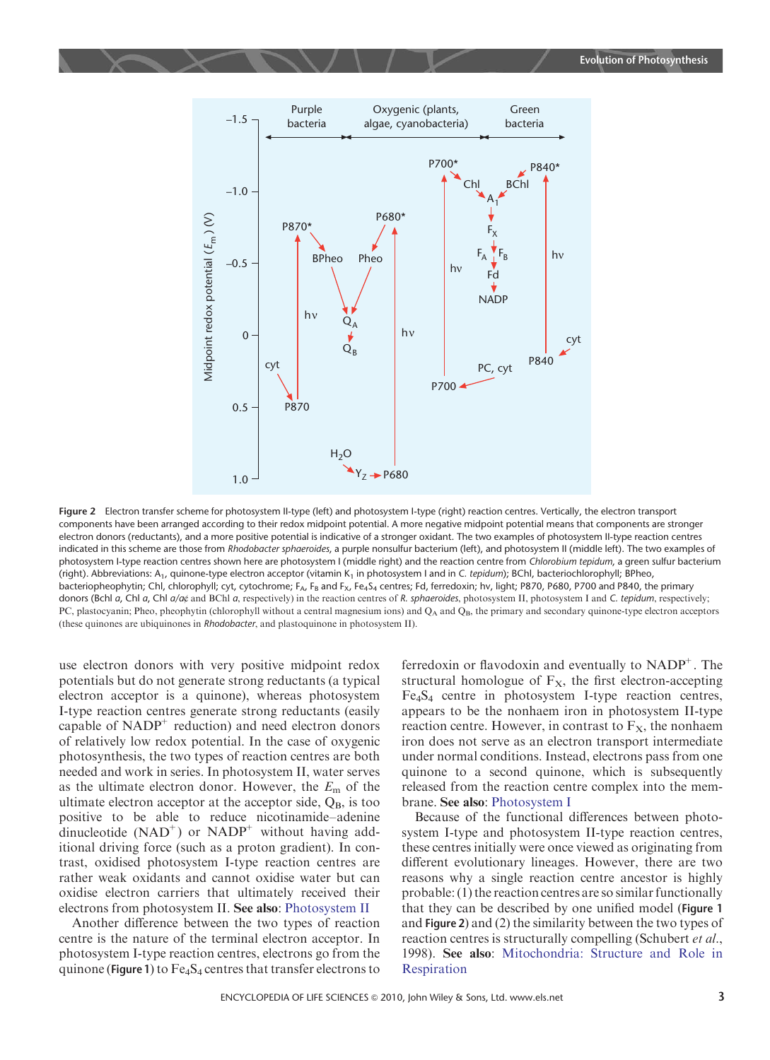

Figure 2 Electron transfer scheme for photosystem II-type (left) and photosystem I-type (right) reaction centres. Vertically, the electron transport components have been arranged according to their redox midpoint potential. A more negative midpoint potential means that components are stronger electron donors (reductants), and a more positive potential is indicative of a stronger oxidant. The two examples of photosystem II-type reaction centres indicated in this scheme are those from Rhodobacter sphaeroides, a purple nonsulfur bacterium (left), and photosystem II (middle left). The two examples of photosystem I-type reaction centres shown here are photosystem I (middle right) and the reaction centre from Chlorobium tepidum, a green sulfur bacterium (right). Abbreviations: A<sub>1</sub>, quinone-type electron acceptor (vitamin K<sub>1</sub> in photosystem I and in C. tepidum); BChl, bacteriochlorophyll; BPheo, bacteriopheophytin; Chl, chlorophyll; cyt, cytochrome; F<sub>A</sub>, F<sub>B</sub> and F<sub>X</sub>, Fe<sub>4</sub>S<sub>4</sub> centres; Fd, ferredoxin; hv, light; P870, P680, P700 and P840, the primary donors (Bchl a, Chl a, Chl a/a¢ and BChl a, respectively) in the reaction centres of R. sphaeroides, photosystem II, photosystem I and C. tepidum, respectively; PC, plastocyanin; Pheo, pheophytin (chlorophyll without a central magnesium ions) and  $Q_A$  and  $Q_B$ , the primary and secondary quinone-type electron acceptors (these quinones are ubiquinones in Rhodobacter, and plastoquinone in photosystem II).

use electron donors with very positive midpoint redox potentials but do not generate strong reductants (a typical electron acceptor is a quinone), whereas photosystem I-type reaction centres generate strong reductants (easily capable of  $NADP<sup>+</sup>$  reduction) and need electron donors of relatively low redox potential. In the case of oxygenic photosynthesis, the two types of reaction centres are both needed and work in series. In photosystem II, water serves as the ultimate electron donor. However, the  $E<sub>m</sub>$  of the ultimate electron acceptor at the acceptor side,  $Q_B$ , is too positive to be able to reduce nicotinamide–adenine dinucleotide  $(NAD^+)$  or  $NADP^+$  without having additional driving force (such as a proton gradient). In contrast, oxidised photosystem I-type reaction centres are rather weak oxidants and cannot oxidise water but can oxidise electron carriers that ultimately received their electrons from photosystem II. See also: [Photosystem II](http://dx.doi.org/10.1038/npg.els.0000669)

Another difference between the two types of reaction centre is the nature of the terminal electron acceptor. In photosystem I-type reaction centres, electrons go from the quinone (Figure 1) to  $Fe<sub>4</sub>S<sub>4</sub>$  centres that transfer electrons to ferredoxin or flavodoxin and eventually to  $NADP<sup>+</sup>$ . The structural homologue of  $F_x$ , the first electron-accepting Fe4S4 centre in photosystem I-type reaction centres, appears to be the nonhaem iron in photosystem II-type reaction centre. However, in contrast to  $F_X$ , the nonhaem iron does not serve as an electron transport intermediate under normal conditions. Instead, electrons pass from one quinone to a second quinone, which is subsequently released from the reaction centre complex into the membrane. See also: [Photosystem I](http://dx.doi.org/10.1038/npg.els.0000665)

Because of the functional differences between photosystem I-type and photosystem II-type reaction centres, these centres initially were once viewed as originating from different evolutionary lineages. However, there are two reasons why a single reaction centre ancestor is highly probable: (1) the reaction centres are so similar functionally that they can be described by one unified model (Figure 1 and Figure 2) and (2) the similarity between the two types of reaction centres is structurally compelling (Schubert et al., 1998). See also: [Mitochondria: Structure and Role in](http://dx.doi.org/10.1038/npg.els.0001380) [Respiration](http://dx.doi.org/10.1038/npg.els.0001380)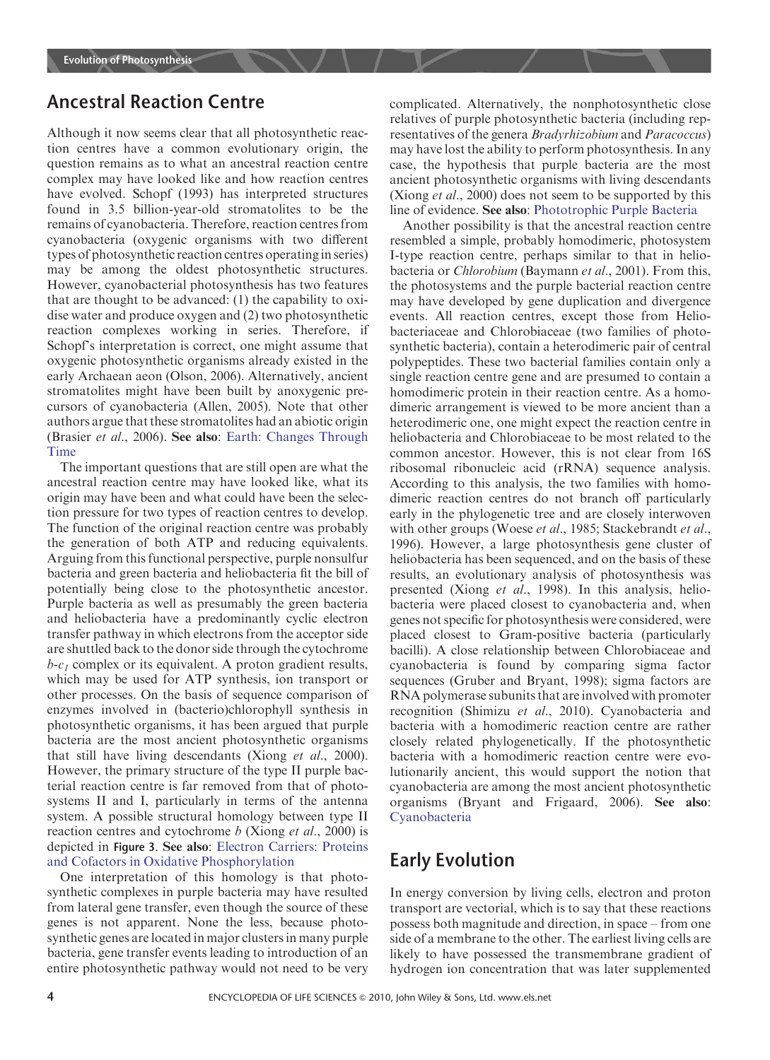# Ancestral Reaction Centre

Although it now seems clear that all photosynthetic reaction centres have a common evolutionary origin, the question remains as to what an ancestral reaction centre complex may have looked like and how reaction centres have evolved. Schopf (1993) has interpreted structures found in 3.5 billion-year-old stromatolites to be the remains of cyanobacteria. Therefore, reaction centres from cyanobacteria (oxygenic organisms with two different types of photosynthetic reaction centres operating in series) may be among the oldest photosynthetic structures. However, cyanobacterial photosynthesis has two features that are thought to be advanced: (1) the capability to oxidise water and produce oxygen and (2) two photosynthetic reaction complexes working in series. Therefore, if Schopf's interpretation is correct, one might assume that oxygenic photosynthetic organisms already existed in the early Archaean aeon (Olson, 2006). Alternatively, ancient stromatolites might have been built by anoxygenic precursors of cyanobacteria (Allen, 2005). Note that other authors argue that these stromatolites had an abiotic origin (Brasier et al., 2006). See also: [Earth: Changes Through](http://dx.doi.org/10.1038/npg.els.0001631) [Time](http://dx.doi.org/10.1038/npg.els.0001631)

The important questions that are still open are what the ancestral reaction centre may have looked like, what its origin may have been and what could have been the selection pressure for two types of reaction centres to develop. The function of the original reaction centre was probably the generation of both ATP and reducing equivalents. Arguing from this functional perspective, purple nonsulfur bacteria and green bacteria and heliobacteria fit the bill of potentially being close to the photosynthetic ancestor. Purple bacteria as well as presumably the green bacteria and heliobacteria have a predominantly cyclic electron transfer pathway in which electrons from the acceptor side are shuttled back to the donor side through the cytochrome  $b-c_1$  complex or its equivalent. A proton gradient results, which may be used for ATP synthesis, ion transport or other processes. On the basis of sequence comparison of enzymes involved in (bacterio)chlorophyll synthesis in photosynthetic organisms, it has been argued that purple bacteria are the most ancient photosynthetic organisms that still have living descendants (Xiong et al., 2000). However, the primary structure of the type II purple bacterial reaction centre is far removed from that of photosystems II and I, particularly in terms of the antenna system. A possible structural homology between type II reaction centres and cytochrome  $b$  (Xiong et al., 2000) is depicted in Figure 3. See also: [Electron Carriers: Proteins](http://dx.doi.org/10.1038/npg.els.0001373) [and Cofactors in Oxidative Phosphorylation](http://dx.doi.org/10.1038/npg.els.0001373)

One interpretation of this homology is that photosynthetic complexes in purple bacteria may have resulted from lateral gene transfer, even though the source of these genes is not apparent. None the less, because photosynthetic genes are located in major clusters in many purple bacteria, gene transfer events leading to introduction of an entire photosynthetic pathway would not need to be very complicated. Alternatively, the nonphotosynthetic close relatives of purple photosynthetic bacteria (including representatives of the genera Bradyrhizobium and Paracoccus) may have lost the ability to perform photosynthesis. In any case, the hypothesis that purple bacteria are the most ancient photosynthetic organisms with living descendants (Xiong *et al.*, 2000) does not seem to be supported by this line of evidence. See also: [Phototrophic Purple Bacteria](http://dx.doi.org/10.1002/9780470015902.a0021156)

Another possibility is that the ancestral reaction centre resembled a simple, probably homodimeric, photosystem I-type reaction centre, perhaps similar to that in heliobacteria or Chlorobium (Baymann et al., 2001). From this, the photosystems and the purple bacterial reaction centre may have developed by gene duplication and divergence events. All reaction centres, except those from Heliobacteriaceae and Chlorobiaceae (two families of photosynthetic bacteria), contain a heterodimeric pair of central polypeptides. These two bacterial families contain only a single reaction centre gene and are presumed to contain a homodimeric protein in their reaction centre. As a homodimeric arrangement is viewed to be more ancient than a heterodimeric one, one might expect the reaction centre in heliobacteria and Chlorobiaceae to be most related to the common ancestor. However, this is not clear from 16S ribosomal ribonucleic acid (rRNA) sequence analysis. According to this analysis, the two families with homodimeric reaction centres do not branch off particularly early in the phylogenetic tree and are closely interwoven with other groups (Woese et al., 1985; Stackebrandt et al., 1996). However, a large photosynthesis gene cluster of heliobacteria has been sequenced, and on the basis of these results, an evolutionary analysis of photosynthesis was presented (Xiong et al., 1998). In this analysis, heliobacteria were placed closest to cyanobacteria and, when genes not specific for photosynthesis were considered, were placed closest to Gram-positive bacteria (particularly bacilli). A close relationship between Chlorobiaceae and cyanobacteria is found by comparing sigma factor sequences (Gruber and Bryant, 1998); sigma factors are RNA polymerase subunits that are involved with promoter recognition (Shimizu et al., 2010). Cyanobacteria and bacteria with a homodimeric reaction centre are rather closely related phylogenetically. If the photosynthetic bacteria with a homodimeric reaction centre were evolutionarily ancient, this would support the notion that cyanobacteria are among the most ancient photosynthetic organisms (Bryant and Frigaard, 2006). See also: [Cyanobacteria](http://dx.doi.org/10.1038/npg.els.0000454)

# Early Evolution

In energy conversion by living cells, electron and proton transport are vectorial, which is to say that these reactions possess both magnitude and direction, in space – from one side of a membrane to the other. The earliest living cells are likely to have possessed the transmembrane gradient of hydrogen ion concentration that was later supplemented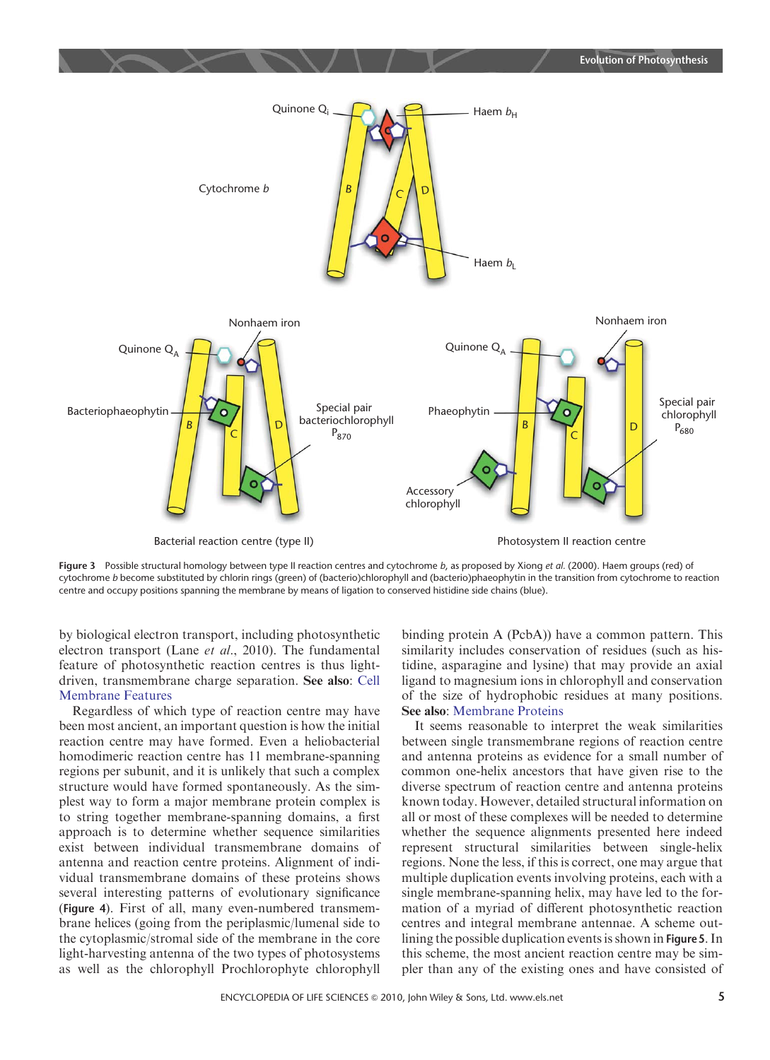

Figure 3 Possible structural homology between type II reaction centres and cytochrome b, as proposed by Xiong et al. (2000). Haem groups (red) of cytochrome b become substituted by chlorin rings (green) of (bacterio)chlorophyll and (bacterio)phaeophytin in the transition from cytochrome to reaction centre and occupy positions spanning the membrane by means of ligation to conserved histidine side chains (blue).

by biological electron transport, including photosynthetic electron transport (Lane et al., 2010). The fundamental feature of photosynthetic reaction centres is thus lightdriven, transmembrane charge separation. See also: [Cell](http://dx.doi.org/10.1038/npg.els.0001261) [Membrane Features](http://dx.doi.org/10.1038/npg.els.0001261)

Regardless of which type of reaction centre may have been most ancient, an important question is how the initial reaction centre may have formed. Even a heliobacterial homodimeric reaction centre has 11 membrane-spanning regions per subunit, and it is unlikely that such a complex structure would have formed spontaneously. As the simplest way to form a major membrane protein complex is to string together membrane-spanning domains, a first approach is to determine whether sequence similarities exist between individual transmembrane domains of antenna and reaction centre proteins. Alignment of individual transmembrane domains of these proteins shows several interesting patterns of evolutionary significance (Figure 4). First of all, many even-numbered transmembrane helices (going from the periplasmic/lumenal side to the cytoplasmic/stromal side of the membrane in the core light-harvesting antenna of the two types of photosystems as well as the chlorophyll Prochlorophyte chlorophyll binding protein A (PcbA)) have a common pattern. This similarity includes conservation of residues (such as histidine, asparagine and lysine) that may provide an axial ligand to magnesium ions in chlorophyll and conservation of the size of hydrophobic residues at many positions. See also: [Membrane Proteins](http://dx.doi.org/10.1038/npg.els.0000624)

It seems reasonable to interpret the weak similarities between single transmembrane regions of reaction centre and antenna proteins as evidence for a small number of common one-helix ancestors that have given rise to the diverse spectrum of reaction centre and antenna proteins known today. However, detailed structural information on all or most of these complexes will be needed to determine whether the sequence alignments presented here indeed represent structural similarities between single-helix regions. None the less, if this is correct, one may argue that multiple duplication events involving proteins, each with a single membrane-spanning helix, may have led to the formation of a myriad of different photosynthetic reaction centres and integral membrane antennae. A scheme outlining the possible duplication events is shown in Figure5. In this scheme, the most ancient reaction centre may be simpler than any of the existing ones and have consisted of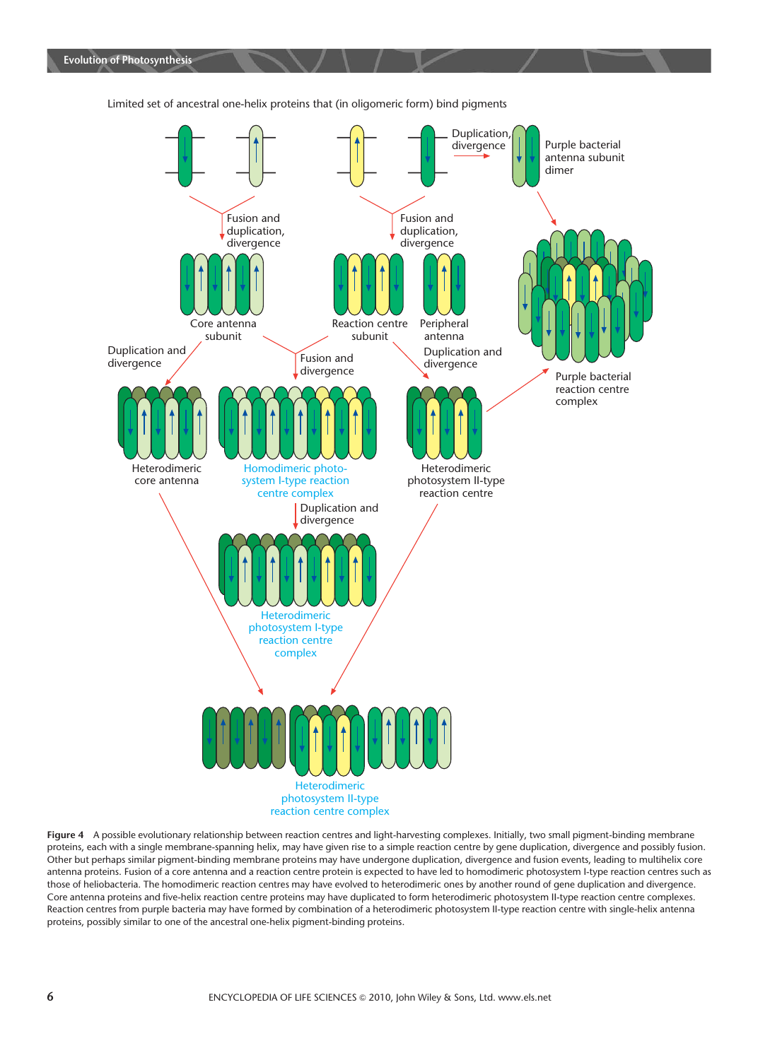

Limited set of ancestral one-helix proteins that (in oligomeric form) bind pigments

Figure 4 A possible evolutionary relationship between reaction centres and light-harvesting complexes. Initially, two small pigment-binding membrane proteins, each with a single membrane-spanning helix, may have given rise to a simple reaction centre by gene duplication, divergence and possibly fusion. Other but perhaps similar pigment-binding membrane proteins may have undergone duplication, divergence and fusion events, leading to multihelix core antenna proteins. Fusion of a core antenna and a reaction centre protein is expected to have led to homodimeric photosystem I-type reaction centres such as those of heliobacteria. The homodimeric reaction centres may have evolved to heterodimeric ones by another round of gene duplication and divergence. Core antenna proteins and five-helix reaction centre proteins may have duplicated to form heterodimeric photosystem II-type reaction centre complexes. Reaction centres from purple bacteria may have formed by combination of a heterodimeric photosystem II-type reaction centre with single-helix antenna proteins, possibly similar to one of the ancestral one-helix pigment-binding proteins.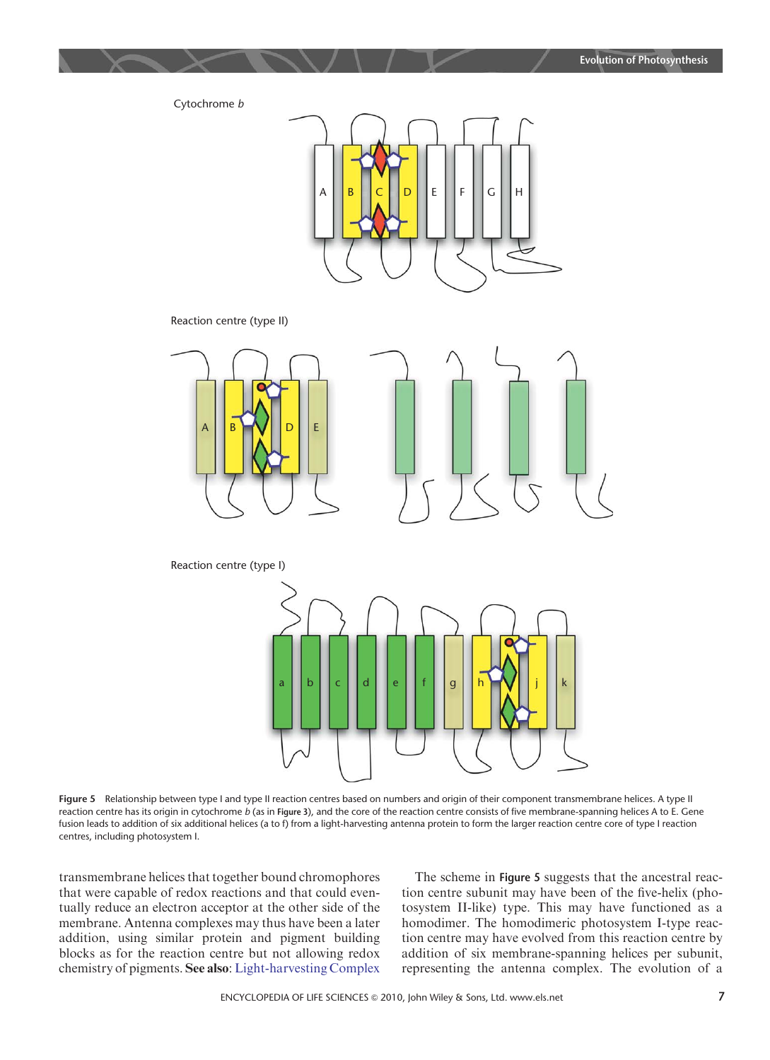#### Cytochrome *b*



Reaction centre (type II)



Reaction centre (type I)



Figure 5 Relationship between type I and type II reaction centres based on numbers and origin of their component transmembrane helices. A type II reaction centre has its origin in cytochrome b (as in Figure 3), and the core of the reaction centre consists of five membrane-spanning helices A to E. Gene fusion leads to addition of six additional helices (a to f) from a light-harvesting antenna protein to form the larger reaction centre core of type I reaction centres, including photosystem I.

transmembrane helices that together bound chromophores that were capable of redox reactions and that could eventually reduce an electron acceptor at the other side of the membrane. Antenna complexes may thus have been a later addition, using similar protein and pigment building blocks as for the reaction centre but not allowing redox chemistry of pigments. See also: [Light-harvesting Complex](http://dx.doi.org/10.1038/npg.els.0000663)

The scheme in Figure 5 suggests that the ancestral reaction centre subunit may have been of the five-helix (photosystem II-like) type. This may have functioned as a homodimer. The homodimeric photosystem I-type reaction centre may have evolved from this reaction centre by addition of six membrane-spanning helices per subunit, representing the antenna complex. The evolution of a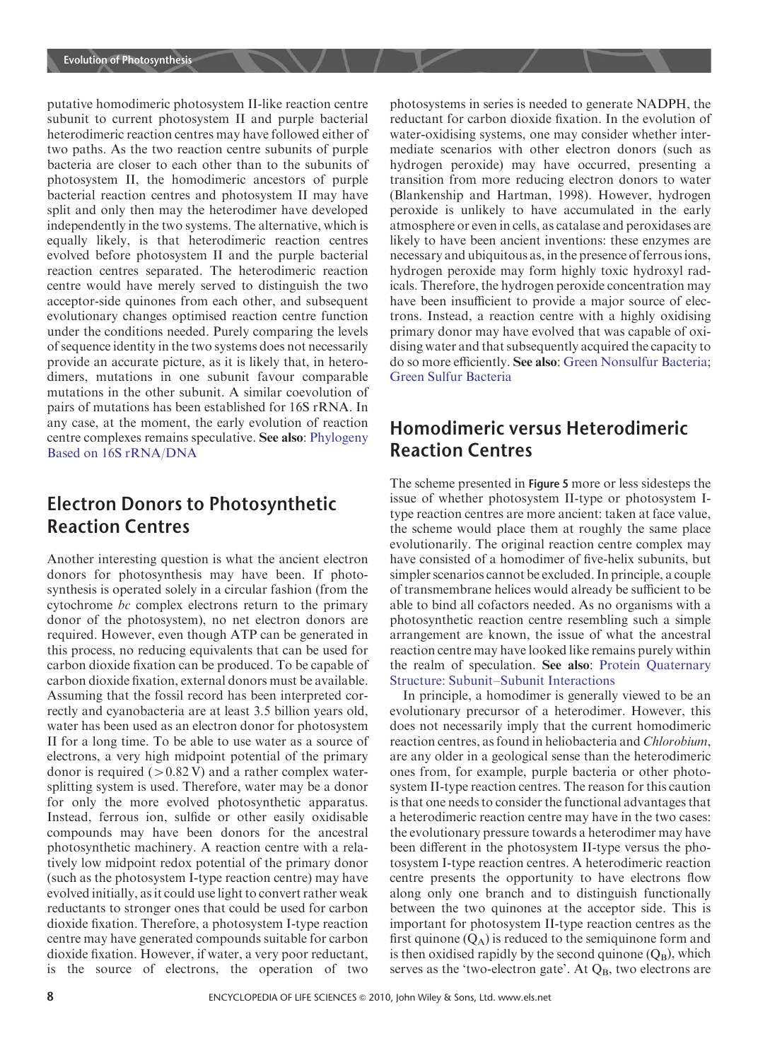putative homodimeric photosystem II-like reaction centre subunit to current photosystem II and purple bacterial heterodimeric reaction centres may have followed either of two paths. As the two reaction centre subunits of purple bacteria are closer to each other than to the subunits of photosystem II, the homodimeric ancestors of purple bacterial reaction centres and photosystem II may have split and only then may the heterodimer have developed independently in the two systems. The alternative, which is equally likely, is that heterodimeric reaction centres evolved before photosystem II and the purple bacterial reaction centres separated. The heterodimeric reaction centre would have merely served to distinguish the two acceptor-side quinones from each other, and subsequent evolutionary changes optimised reaction centre function under the conditions needed. Purely comparing the levels of sequence identity in the two systems does not necessarily provide an accurate picture, as it is likely that, in heterodimers, mutations in one subunit favour comparable mutations in the other subunit. A similar coevolution of pairs of mutations has been established for 16S rRNA. In any case, at the moment, the early evolution of reaction centre complexes remains speculative. See also: [Phylogeny](http://dx.doi.org/10.1038/npg.els.0000462) [Based on 16S rRNA/DNA](http://dx.doi.org/10.1038/npg.els.0000462)

# Electron Donors to Photosynthetic Reaction Centres

Another interesting question is what the ancient electron donors for photosynthesis may have been. If photosynthesis is operated solely in a circular fashion (from the cytochrome bc complex electrons return to the primary donor of the photosystem), no net electron donors are required. However, even though ATP can be generated in this process, no reducing equivalents that can be used for carbon dioxide fixation can be produced. To be capable of carbon dioxide fixation, external donors must be available. Assuming that the fossil record has been interpreted correctly and cyanobacteria are at least 3.5 billion years old, water has been used as an electron donor for photosystem II for a long time. To be able to use water as a source of electrons, a very high midpoint potential of the primary donor is required  $(>0.82 \text{ V})$  and a rather complex watersplitting system is used. Therefore, water may be a donor for only the more evolved photosynthetic apparatus. Instead, ferrous ion, sulfide or other easily oxidisable compounds may have been donors for the ancestral photosynthetic machinery. A reaction centre with a relatively low midpoint redox potential of the primary donor (such as the photosystem I-type reaction centre) may have evolved initially, as it could use light to convert rather weak reductants to stronger ones that could be used for carbon dioxide fixation. Therefore, a photosystem I-type reaction centre may have generated compounds suitable for carbon dioxide fixation. However, if water, a very poor reductant, is the source of electrons, the operation of two photosystems in series is needed to generate NADPH, the reductant for carbon dioxide fixation. In the evolution of water-oxidising systems, one may consider whether intermediate scenarios with other electron donors (such as hydrogen peroxide) may have occurred, presenting a transition from more reducing electron donors to water (Blankenship and Hartman, 1998). However, hydrogen peroxide is unlikely to have accumulated in the early atmosphere or even in cells, as catalase and peroxidases are likely to have been ancient inventions: these enzymes are necessary and ubiquitous as, in the presence of ferrous ions, hydrogen peroxide may form highly toxic hydroxyl radicals. Therefore, the hydrogen peroxide concentration may have been insufficient to provide a major source of electrons. Instead, a reaction centre with a highly oxidising primary donor may have evolved that was capable of oxidising water and that subsequently acquired the capacity to do so more efficiently. See also: [Green Nonsulfur Bacteria;](http://dx.doi.org/10.1002/9780470015902.a0000457) [Green Sulfur Bacteria](http://dx.doi.org/10.1038/npg.els.0000458)

# Homodimeric versus Heterodimeric Reaction Centres

The scheme presented in Figure 5 more or less sidesteps the issue of whether photosystem II-type or photosystem Itype reaction centres are more ancient: taken at face value, the scheme would place them at roughly the same place evolutionarily. The original reaction centre complex may have consisted of a homodimer of five-helix subunits, but simpler scenarios cannot be excluded. In principle, a couple of transmembrane helices would already be sufficient to be able to bind all cofactors needed. As no organisms with a photosynthetic reaction centre resembling such a simple arrangement are known, the issue of what the ancestral reaction centre may have looked like remains purely within the realm of speculation. See also: [Protein Quaternary](http://dx.doi.org/10.1038/npg.els.0003120) [Structure: Subunit–Subunit Interactions](http://dx.doi.org/10.1038/npg.els.0003120)

In principle, a homodimer is generally viewed to be an evolutionary precursor of a heterodimer. However, this does not necessarily imply that the current homodimeric reaction centres, as found in heliobacteria and Chlorobium, are any older in a geological sense than the heterodimeric ones from, for example, purple bacteria or other photosystem II-type reaction centres. The reason for this caution is that one needs to consider the functional advantages that a heterodimeric reaction centre may have in the two cases: the evolutionary pressure towards a heterodimer may have been different in the photosystem II-type versus the photosystem I-type reaction centres. A heterodimeric reaction centre presents the opportunity to have electrons flow along only one branch and to distinguish functionally between the two quinones at the acceptor side. This is important for photosystem II-type reaction centres as the first quinone  $(Q_A)$  is reduced to the semiquinone form and is then oxidised rapidly by the second quinone  $(Q_B)$ , which serves as the 'two-electron gate'. At  $Q_B$ , two electrons are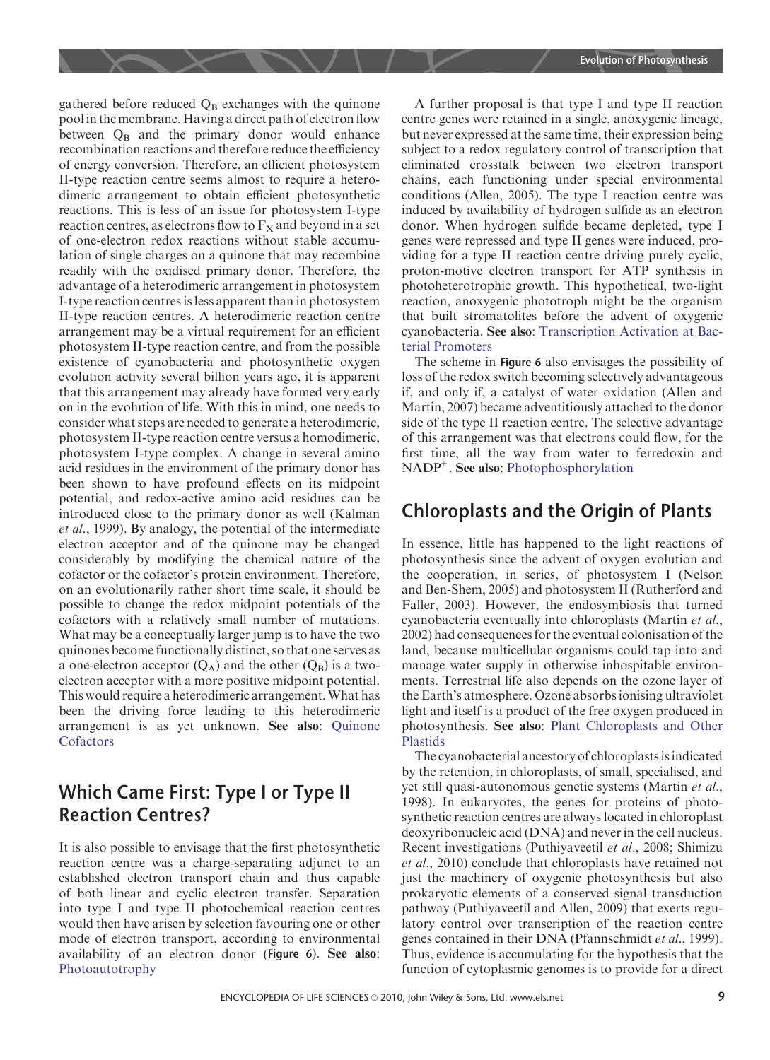gathered before reduced  $Q_B$  exchanges with the quinone pool in the membrane. Having a direct path of electron flow between  $Q_B$  and the primary donor would enhance recombination reactions and therefore reduce the efficiency of energy conversion. Therefore, an efficient photosystem II-type reaction centre seems almost to require a heterodimeric arrangement to obtain efficient photosynthetic reactions. This is less of an issue for photosystem I-type reaction centres, as electrons flow to  $F<sub>x</sub>$  and beyond in a set of one-electron redox reactions without stable accumulation of single charges on a quinone that may recombine readily with the oxidised primary donor. Therefore, the advantage of a heterodimeric arrangement in photosystem I-type reaction centres is less apparent than in photosystem II-type reaction centres. A heterodimeric reaction centre arrangement may be a virtual requirement for an efficient photosystem II-type reaction centre, and from the possible existence of cyanobacteria and photosynthetic oxygen evolution activity several billion years ago, it is apparent that this arrangement may already have formed very early on in the evolution of life. With this in mind, one needs to consider what steps are needed to generate a heterodimeric, photosystem II-type reaction centre versus a homodimeric, photosystem I-type complex. A change in several amino acid residues in the environment of the primary donor has been shown to have profound effects on its midpoint potential, and redox-active amino acid residues can be introduced close to the primary donor as well (Kalman et al., 1999). By analogy, the potential of the intermediate electron acceptor and of the quinone may be changed considerably by modifying the chemical nature of the cofactor or the cofactor's protein environment. Therefore, on an evolutionarily rather short time scale, it should be possible to change the redox midpoint potentials of the cofactors with a relatively small number of mutations. What may be a conceptually larger jump is to have the two quinones become functionally distinct, so that one serves as a one-electron acceptor  $(Q_A)$  and the other  $(Q_B)$  is a twoelectron acceptor with a more positive midpoint potential. This would require a heterodimeric arrangement.What has been the driving force leading to this heterodimeric arrangement is as yet unknown. See also: [Quinone](http://dx.doi.org/10.1038/npg.els.0000660) **[Cofactors](http://dx.doi.org/10.1038/npg.els.0000660)** 

# Which Came First: Type I or Type II Reaction Centres?

It is also possible to envisage that the first photosynthetic reaction centre was a charge-separating adjunct to an established electron transport chain and thus capable of both linear and cyclic electron transfer. Separation into type I and type II photochemical reaction centres would then have arisen by selection favouring one or other mode of electron transport, according to environmental availability of an electron donor (Figure 6). See also: [Photoautotrophy](http://dx.doi.org/10.1038/npg.els.0001424)

A further proposal is that type I and type II reaction centre genes were retained in a single, anoxygenic lineage, but never expressed at the same time, their expression being subject to a redox regulatory control of transcription that eliminated crosstalk between two electron transport chains, each functioning under special environmental conditions (Allen, 2005). The type I reaction centre was induced by availability of hydrogen sulfide as an electron donor. When hydrogen sulfide became depleted, type I genes were repressed and type II genes were induced, providing for a type II reaction centre driving purely cyclic, proton-motive electron transport for ATP synthesis in photoheterotrophic growth. This hypothetical, two-light reaction, anoxygenic phototroph might be the organism that built stromatolites before the advent of oxygenic cyanobacteria. See also: [Transcription Activation at Bac](http://dx.doi.org/10.1038/npg.els.0000855)[terial Promoters](http://dx.doi.org/10.1038/npg.els.0000855)

The scheme in Figure 6 also envisages the possibility of loss of the redox switch becoming selectively advantageous if, and only if, a catalyst of water oxidation (Allen and Martin, 2007) became adventitiously attached to the donor side of the type II reaction centre. The selective advantage of this arrangement was that electrons could flow, for the first time, all the way from water to ferredoxin and  $NADP<sup>+</sup>$ . See also: [Photophosphorylation](http://dx.doi.org/10.1038/npg.els.0001382)

### Chloroplasts and the Origin of Plants

In essence, little has happened to the light reactions of photosynthesis since the advent of oxygen evolution and the cooperation, in series, of photosystem I (Nelson and Ben-Shem, 2005) and photosystem II (Rutherford and Faller, 2003). However, the endosymbiosis that turned cyanobacteria eventually into chloroplasts (Martin et al., 2002) had consequences for the eventual colonisation of the land, because multicellular organisms could tap into and manage water supply in otherwise inhospitable environments. Terrestrial life also depends on the ozone layer of the Earth's atmosphere. Ozone absorbs ionising ultraviolet light and itself is a product of the free oxygen produced in photosynthesis. See also: [Plant Chloroplasts and Other](http://dx.doi.org/10.1038/npg.els.0001678) [Plastids](http://dx.doi.org/10.1038/npg.els.0001678)

The cyanobacterial ancestory of chloroplasts is indicated by the retention, in chloroplasts, of small, specialised, and yet still quasi-autonomous genetic systems (Martin et al., 1998). In eukaryotes, the genes for proteins of photosynthetic reaction centres are always located in chloroplast deoxyribonucleic acid (DNA) and never in the cell nucleus. Recent investigations (Puthiyaveetil et al., 2008; Shimizu et al., 2010) conclude that chloroplasts have retained not just the machinery of oxygenic photosynthesis but also prokaryotic elements of a conserved signal transduction pathway (Puthiyaveetil and Allen, 2009) that exerts regulatory control over transcription of the reaction centre genes contained in their DNA (Pfannschmidt et al., 1999). Thus, evidence is accumulating for the hypothesis that the function of cytoplasmic genomes is to provide for a direct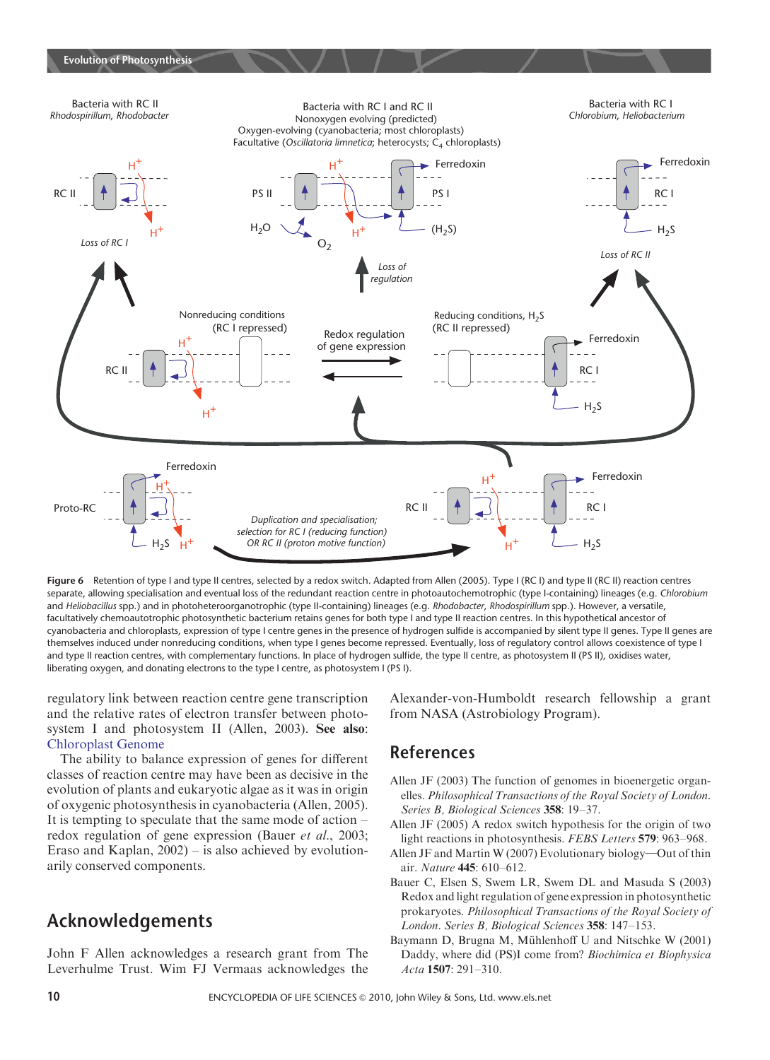

Figure 6 Retention of type I and type II centres, selected by a redox switch. Adapted from Allen (2005). Type I (RC I) and type II (RC II) reaction centres separate, allowing specialisation and eventual loss of the redundant reaction centre in photoautochemotrophic (type I-containing) lineages (e.g. Chlorobium and Heliobacillus spp.) and in photoheteroorganotrophic (type II-containing) lineages (e.g. Rhodobacter, Rhodospirillum spp.). However, a versatile, facultatively chemoautotrophic photosynthetic bacterium retains genes for both type I and type II reaction centres. In this hypothetical ancestor of cyanobacteria and chloroplasts, expression of type I centre genes in the presence of hydrogen sulfide is accompanied by silent type II genes. Type II genes are themselves induced under nonreducing conditions, when type I genes become repressed. Eventually, loss of regulatory control allows coexistence of type I and type II reaction centres, with complementary functions. In place of hydrogen sulfide, the type II centre, as photosystem II (PS II), oxidises water, liberating oxygen, and donating electrons to the type I centre, as photosystem I (PS I).

regulatory link between reaction centre gene transcription and the relative rates of electron transfer between photosystem I and photosystem II (Allen, 2003). See also: [Chloroplast Genome](http://dx.doi.org/10.1038/npg.els.0002016)

The ability to balance expression of genes for different classes of reaction centre may have been as decisive in the evolution of plants and eukaryotic algae as it was in origin of oxygenic photosynthesis in cyanobacteria (Allen, 2005). It is tempting to speculate that the same mode of action – redox regulation of gene expression (Bauer et al., 2003; Eraso and Kaplan, 2002) – is also achieved by evolutionarily conserved components.

# Acknowledgements

John F Allen acknowledges a research grant from The Leverhulme Trust. Wim FJ Vermaas acknowledges the Alexander-von-Humboldt research fellowship a grant from NASA (Astrobiology Program).

#### References

- Allen JF (2003) The function of genomes in bioenergetic organelles. Philosophical Transactions of the Royal Society of London. Series B, Biological Sciences 358: 19–37.
- Allen JF (2005) A redox switch hypothesis for the origin of two light reactions in photosynthesis. FEBS Letters 579: 963–968.
- Allen JF and Martin W (2007) Evolutionary biology—Out of thin air. Nature 445: 610–612.
- Bauer C, Elsen S, Swem LR, Swem DL and Masuda S (2003) Redox and light regulation of gene expression in photosynthetic prokaryotes. Philosophical Transactions of the Royal Society of London. Series B, Biological Sciences 358: 147–153.
- Baymann D, Brugna M, Mühlenhoff U and Nitschke W (2001) Daddy, where did (PS)I come from? Biochimica et Biophysica Acta 1507: 291–310.